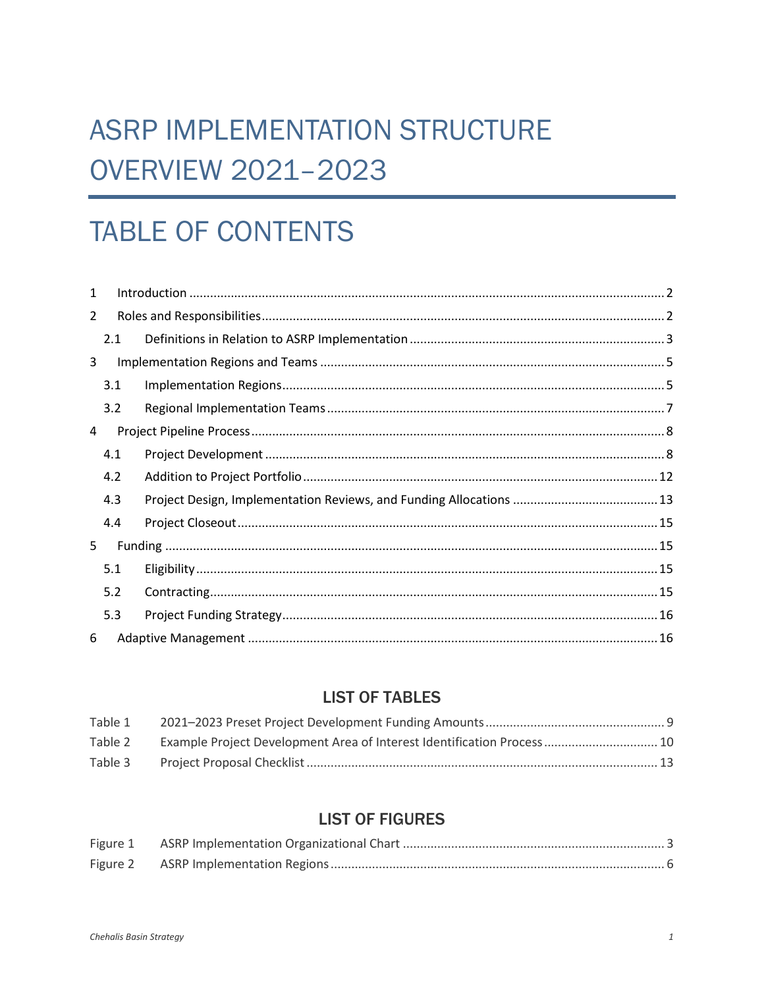# **ASRP IMPLEMENTATION STRUCTURE OVERVIEW 2021-2023**

# **TABLE OF CONTENTS**

| $\mathbf{1}$ |     |  |  |  |
|--------------|-----|--|--|--|
| 2            |     |  |  |  |
|              | 2.1 |  |  |  |
| 3            |     |  |  |  |
|              | 3.1 |  |  |  |
|              | 3.2 |  |  |  |
| 4            |     |  |  |  |
|              | 4.1 |  |  |  |
|              | 4.2 |  |  |  |
|              | 4.3 |  |  |  |
|              | 4.4 |  |  |  |
| 5            |     |  |  |  |
|              | 5.1 |  |  |  |
|              | 5.2 |  |  |  |
|              | 5.3 |  |  |  |
| 6            |     |  |  |  |

# **LIST OF TABLES**

| Table 1 |                                                                         |  |
|---------|-------------------------------------------------------------------------|--|
| Table 2 | Example Project Development Area of Interest Identification Process  10 |  |
| Table 3 |                                                                         |  |

# **LIST OF FIGURES**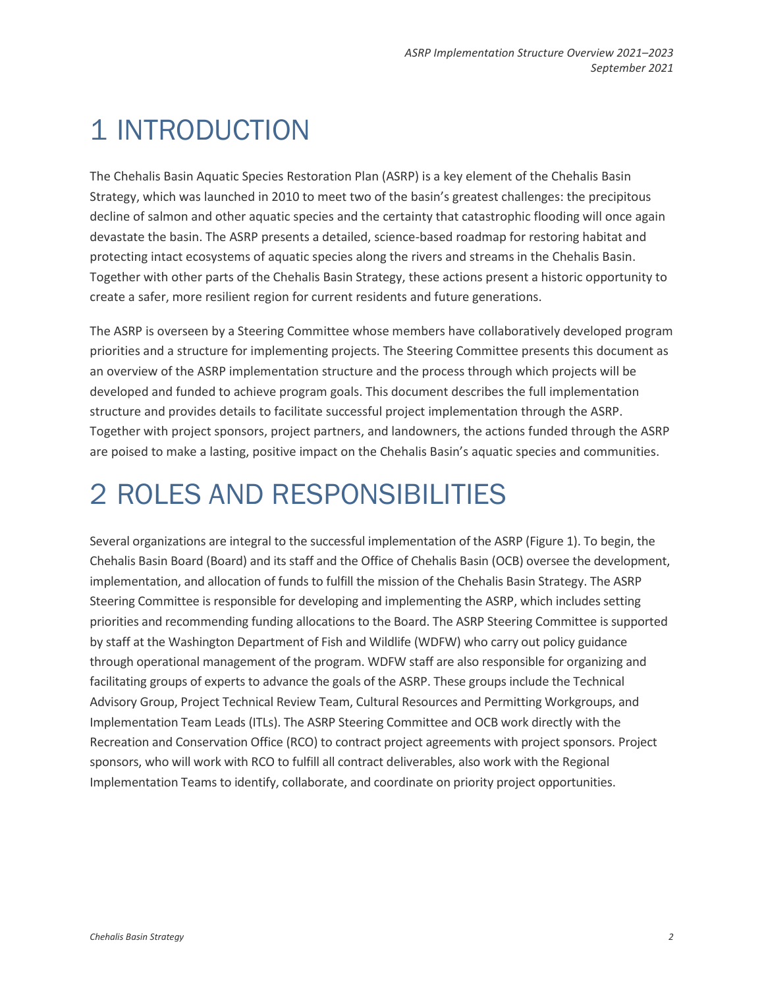# <span id="page-1-0"></span>1 INTRODUCTION

The Chehalis Basin Aquatic Species Restoration Plan (ASRP) is a key element of the Chehalis Basin Strategy, which was launched in 2010 to meet two of the basin's greatest challenges: the precipitous decline of salmon and other aquatic species and the certainty that catastrophic flooding will once again devastate the basin. The ASRP presents a detailed, science-based roadmap for restoring habitat and protecting intact ecosystems of aquatic species along the rivers and streams in the Chehalis Basin. Together with other parts of the Chehalis Basin Strategy, these actions present a historic opportunity to create a safer, more resilient region for current residents and future generations.

The ASRP is overseen by a Steering Committee whose members have collaboratively developed program priorities and a structure for implementing projects. The Steering Committee presents this document as an overview of the ASRP implementation structure and the process through which projects will be developed and funded to achieve program goals. This document describes the full implementation structure and provides details to facilitate successful project implementation through the ASRP. Together with project sponsors, project partners, and landowners, the actions funded through the ASRP are poised to make a lasting, positive impact on the Chehalis Basin's aquatic species and communities.

# <span id="page-1-1"></span>2 ROLES AND RESPONSIBILITIES

Several organizations are integral to the successful implementation of the ASRP (Figure 1). To begin, the Chehalis Basin Board (Board) and its staff and the Office of Chehalis Basin (OCB) oversee the development, implementation, and allocation of funds to fulfill the mission of the Chehalis Basin Strategy. The ASRP Steering Committee is responsible for developing and implementing the ASRP, which includes setting priorities and recommending funding allocations to the Board. The ASRP Steering Committee is supported by staff at the Washington Department of Fish and Wildlife (WDFW) who carry out policy guidance through operational management of the program. WDFW staff are also responsible for organizing and facilitating groups of experts to advance the goals of the ASRP. These groups include the Technical Advisory Group, Project Technical Review Team, Cultural Resources and Permitting Workgroups, and Implementation Team Leads (ITLs). The ASRP Steering Committee and OCB work directly with the Recreation and Conservation Office (RCO) to contract project agreements with project sponsors. Project sponsors, who will work with RCO to fulfill all contract deliverables, also work with the Regional Implementation Teams to identify, collaborate, and coordinate on priority project opportunities.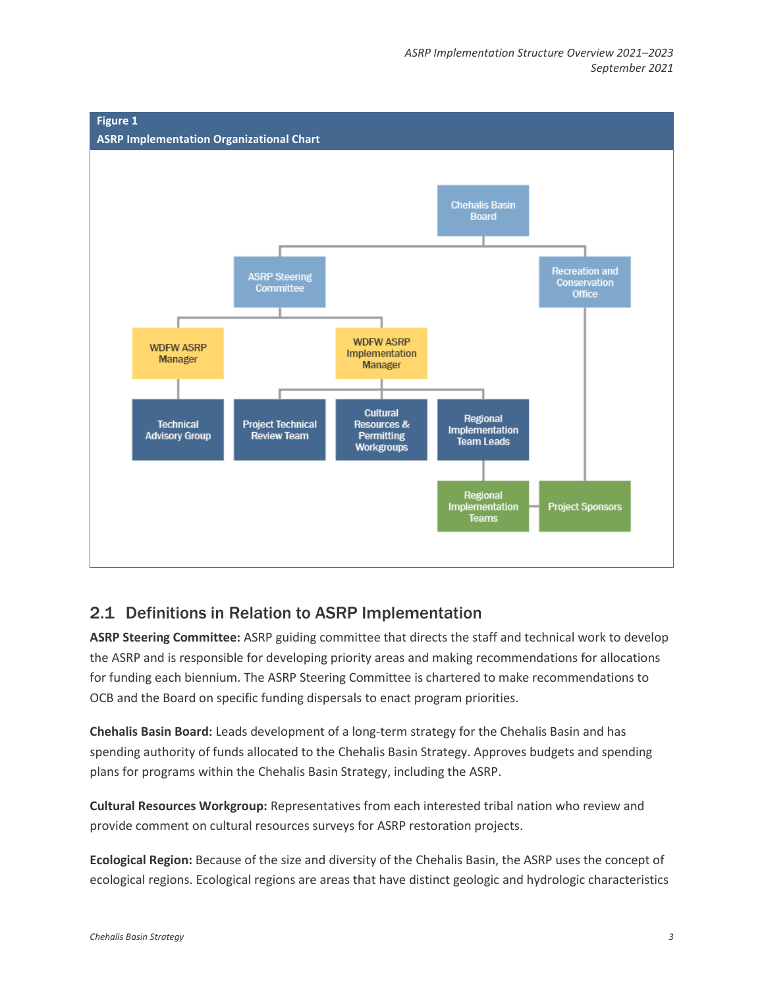<span id="page-2-1"></span>

# <span id="page-2-0"></span>2.1 Definitions in Relation to ASRP Implementation

**ASRP Steering Committee:** ASRP guiding committee that directs the staff and technical work to develop the ASRP and is responsible for developing priority areas and making recommendations for allocations for funding each biennium. The ASRP Steering Committee is chartered to make recommendations to OCB and the Board on specific funding dispersals to enact program priorities.

**Chehalis Basin Board:** Leads development of a long-term strategy for the Chehalis Basin and has spending authority of funds allocated to the Chehalis Basin Strategy. Approves budgets and spending plans for programs within the Chehalis Basin Strategy, including the ASRP.

**Cultural Resources Workgroup:** Representatives from each interested tribal nation who review and provide comment on cultural resources surveys for ASRP restoration projects.

**Ecological Region:** Because of the size and diversity of the Chehalis Basin, the ASRP uses the concept of ecological regions. Ecological regions are areas that have distinct geologic and hydrologic characteristics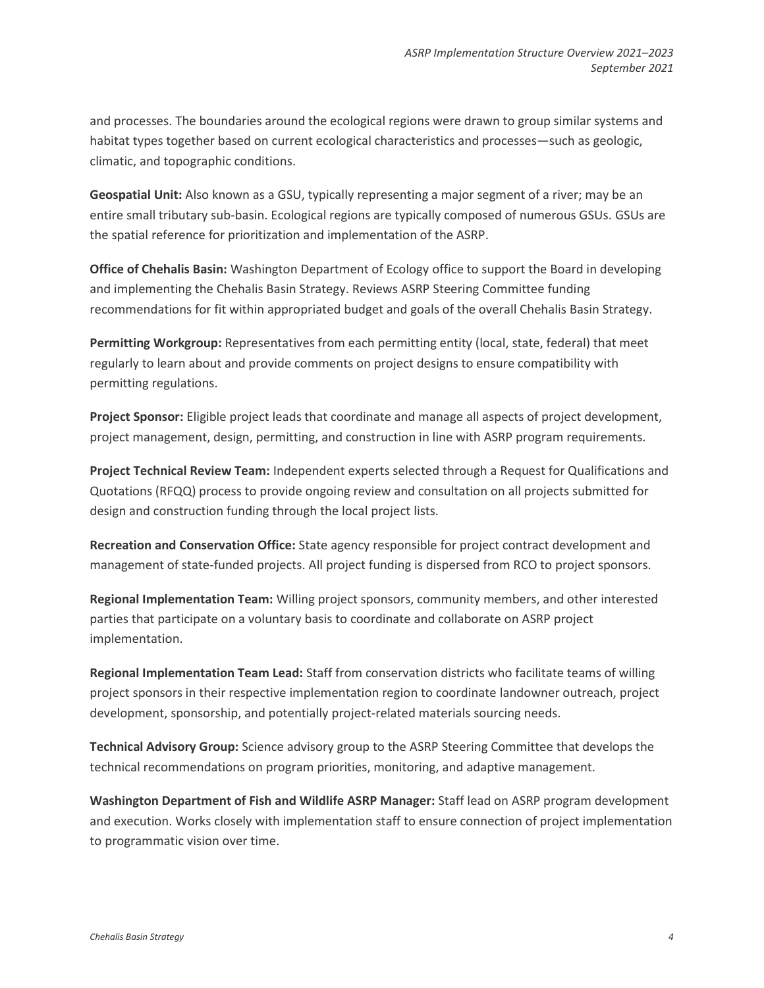and processes. The boundaries around the ecological regions were drawn to group similar systems and habitat types together based on current ecological characteristics and processes—such as geologic, climatic, and topographic conditions.

**Geospatial Unit:** Also known as a GSU, typically representing a major segment of a river; may be an entire small tributary sub-basin. Ecological regions are typically composed of numerous GSUs. GSUs are the spatial reference for prioritization and implementation of the ASRP.

**Office of Chehalis Basin:** Washington Department of Ecology office to support the Board in developing and implementing the Chehalis Basin Strategy. Reviews ASRP Steering Committee funding recommendations for fit within appropriated budget and goals of the overall Chehalis Basin Strategy.

**Permitting Workgroup:** Representatives from each permitting entity (local, state, federal) that meet regularly to learn about and provide comments on project designs to ensure compatibility with permitting regulations.

**Project Sponsor:** Eligible project leads that coordinate and manage all aspects of project development, project management, design, permitting, and construction in line with ASRP program requirements.

**Project Technical Review Team:** Independent experts selected through a Request for Qualifications and Quotations (RFQQ) process to provide ongoing review and consultation on all projects submitted for design and construction funding through the local project lists.

**Recreation and Conservation Office:** State agency responsible for project contract development and management of state-funded projects. All project funding is dispersed from RCO to project sponsors.

**Regional Implementation Team:** Willing project sponsors, community members, and other interested parties that participate on a voluntary basis to coordinate and collaborate on ASRP project implementation.

**Regional Implementation Team Lead:** Staff from conservation districts who facilitate teams of willing project sponsors in their respective implementation region to coordinate landowner outreach, project development, sponsorship, and potentially project-related materials sourcing needs.

**Technical Advisory Group:** Science advisory group to the ASRP Steering Committee that develops the technical recommendations on program priorities, monitoring, and adaptive management.

**Washington Department of Fish and Wildlife ASRP Manager:** Staff lead on ASRP program development and execution. Works closely with implementation staff to ensure connection of project implementation to programmatic vision over time.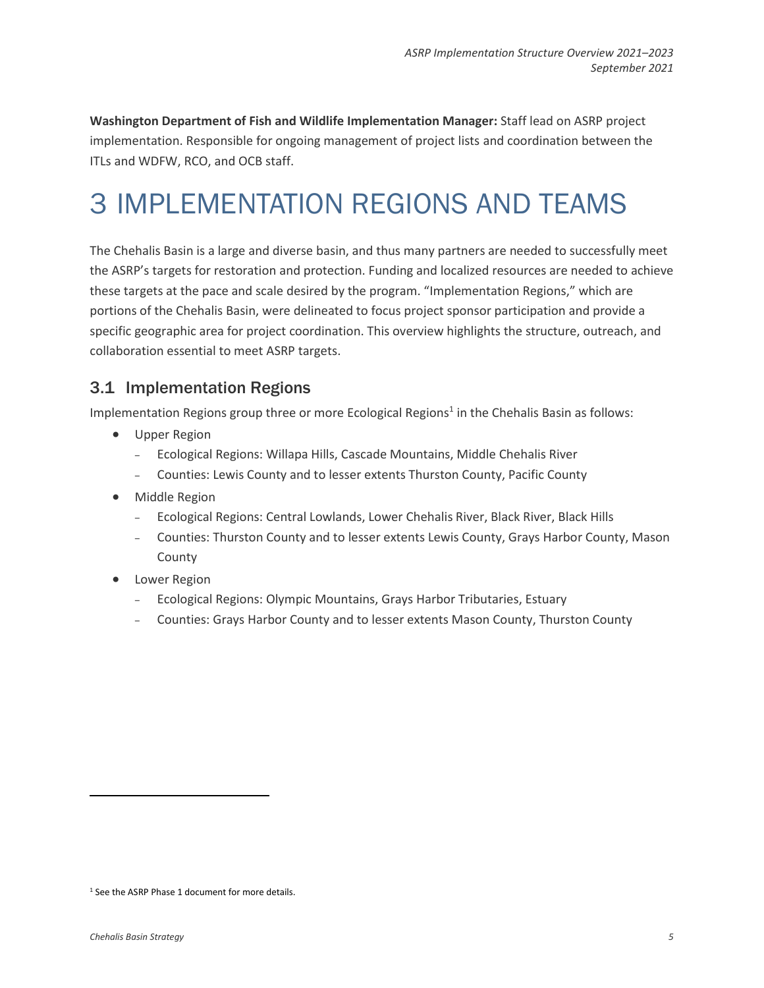**Washington Department of Fish and Wildlife Implementation Manager:** Staff lead on ASRP project implementation. Responsible for ongoing management of project lists and coordination between the ITLs and WDFW, RCO, and OCB staff.

# <span id="page-4-0"></span>3 IMPLEMENTATION REGIONS AND TEAMS

The Chehalis Basin is a large and diverse basin, and thus many partners are needed to successfully meet the ASRP's targets for restoration and protection. Funding and localized resources are needed to achieve these targets at the pace and scale desired by the program. "Implementation Regions," which are portions of the Chehalis Basin, were delineated to focus project sponsor participation and provide a specific geographic area for project coordination. This overview highlights the structure, outreach, and collaboration essential to meet ASRP targets.

# <span id="page-4-1"></span>3.1 Implementation Regions

Implementation Regions group three or more Ecological Regions<sup>1</sup> in the Chehalis Basin as follows:

- Upper Region
	- ‒ Ecological Regions: Willapa Hills, Cascade Mountains, Middle Chehalis River
	- ‒ Counties: Lewis County and to lesser extents Thurston County, Pacific County
- Middle Region
	- ‒ Ecological Regions: Central Lowlands, Lower Chehalis River, Black River, Black Hills
	- ‒ Counties: Thurston County and to lesser extents Lewis County, Grays Harbor County, Mason County
- Lower Region
	- ‒ Ecological Regions: Olympic Mountains, Grays Harbor Tributaries, Estuary
	- ‒ Counties: Grays Harbor County and to lesser extents Mason County, Thurston County

<sup>&</sup>lt;sup>1</sup> See the ASRP Phase 1 document for more details.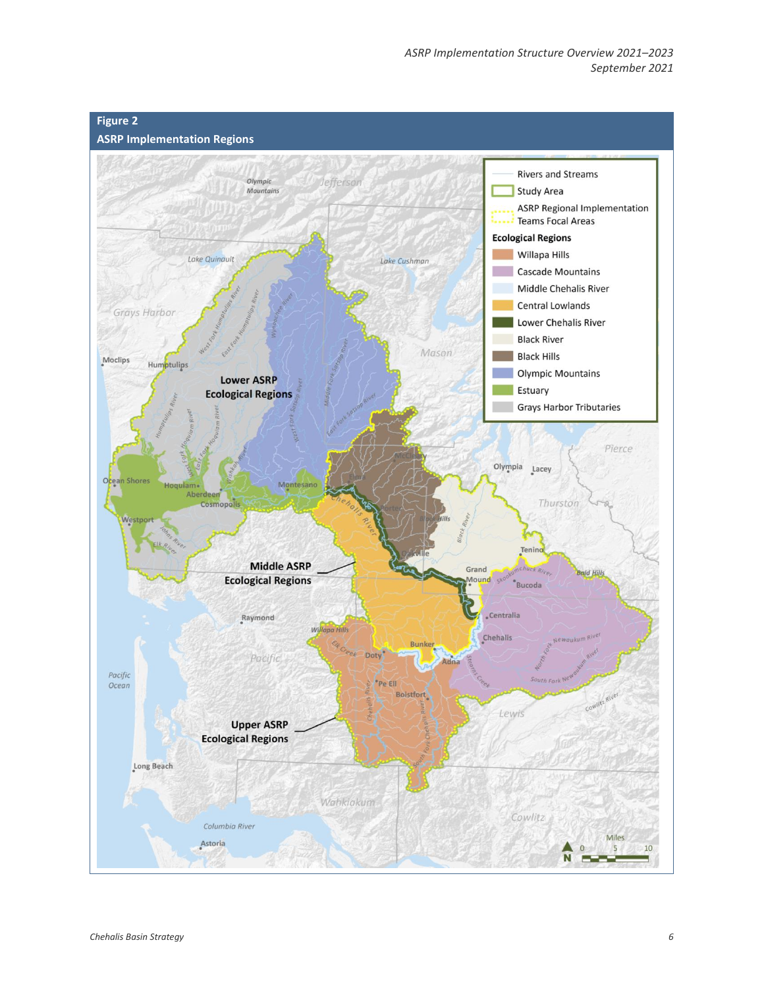<span id="page-5-0"></span>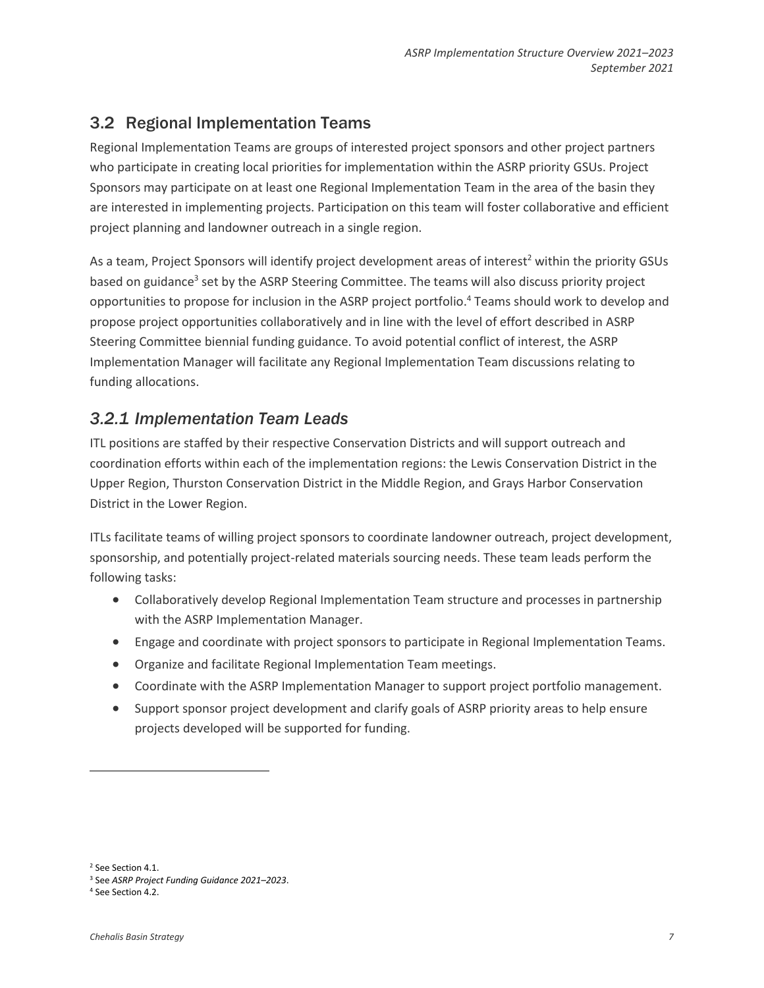# <span id="page-6-0"></span>3.2 Regional Implementation Teams

Regional Implementation Teams are groups of interested project sponsors and other project partners who participate in creating local priorities for implementation within the ASRP priority GSUs. Project Sponsors may participate on at least one Regional Implementation Team in the area of the basin they are interested in implementing projects. Participation on this team will foster collaborative and efficient project planning and landowner outreach in a single region.

As a team, Project Sponsors will identify project development areas of interest<sup>2</sup> within the priority GSUs based on guidance<sup>3</sup> set by the ASRP Steering Committee. The teams will also discuss priority project opportunities to propose for inclusion in the ASRP project portfolio. <sup>4</sup> Teams should work to develop and propose project opportunities collaboratively and in line with the level of effort described in ASRP Steering Committee biennial funding guidance. To avoid potential conflict of interest, the ASRP Implementation Manager will facilitate any Regional Implementation Team discussions relating to funding allocations.

# *3.2.1 Implementation Team Leads*

ITL positions are staffed by their respective Conservation Districts and will support outreach and coordination efforts within each of the implementation regions: the Lewis Conservation District in the Upper Region, Thurston Conservation District in the Middle Region, and Grays Harbor Conservation District in the Lower Region.

ITLs facilitate teams of willing project sponsors to coordinate landowner outreach, project development, sponsorship, and potentially project-related materials sourcing needs. These team leads perform the following tasks:

- Collaboratively develop Regional Implementation Team structure and processes in partnership with the ASRP Implementation Manager.
- Engage and coordinate with project sponsors to participate in Regional Implementation Teams.
- Organize and facilitate Regional Implementation Team meetings.
- Coordinate with the ASRP Implementation Manager to support project portfolio management.
- Support sponsor project development and clarify goals of ASRP priority areas to help ensure projects developed will be supported for funding.

<sup>2</sup> See Section 4.1.

<sup>3</sup> See *ASRP Project Funding Guidance 2021–2023*.

<sup>4</sup> See Section 4.2.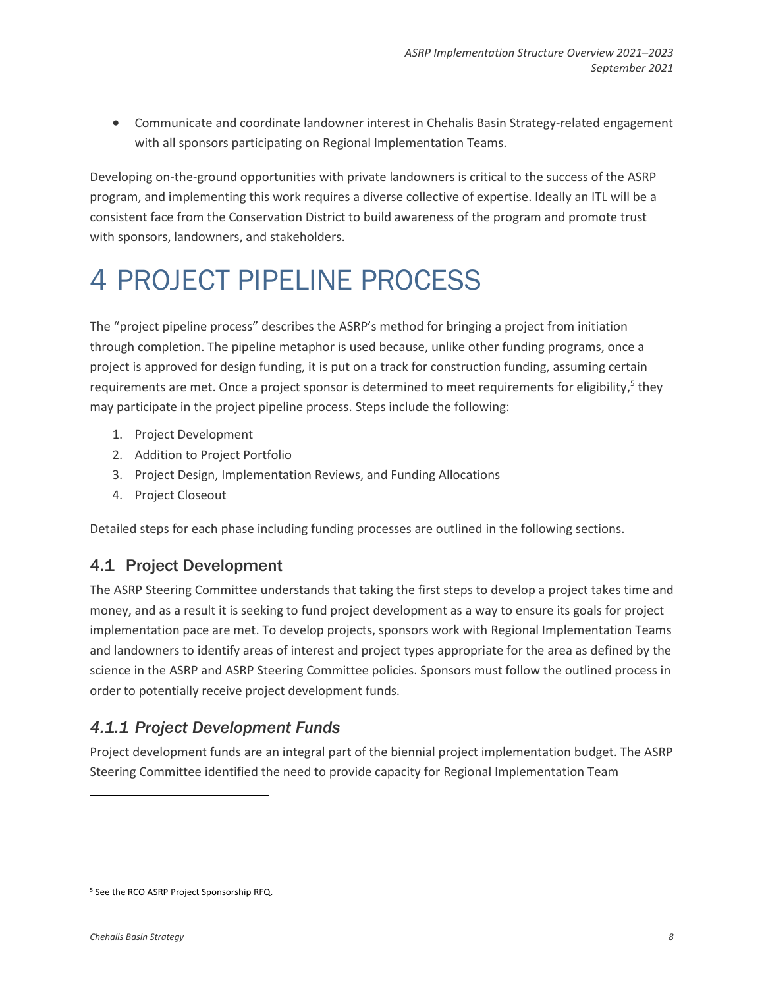• Communicate and coordinate landowner interest in Chehalis Basin Strategy-related engagement with all sponsors participating on Regional Implementation Teams.

Developing on-the-ground opportunities with private landowners is critical to the success of the ASRP program, and implementing this work requires a diverse collective of expertise. Ideally an ITL will be a consistent face from the Conservation District to build awareness of the program and promote trust with sponsors, landowners, and stakeholders.

# <span id="page-7-0"></span>4 PROJECT PIPELINE PROCESS

The "project pipeline process" describes the ASRP's method for bringing a project from initiation through completion. The pipeline metaphor is used because, unlike other funding programs, once a project is approved for design funding, it is put on a track for construction funding, assuming certain requirements are met. Once a project sponsor is determined to meet requirements for eligibility,<sup>5</sup> they may participate in the project pipeline process. Steps include the following:

- 1. Project Development
- 2. Addition to Project Portfolio
- 3. Project Design, Implementation Reviews, and Funding Allocations
- 4. Project Closeout

Detailed steps for each phase including funding processes are outlined in the following sections.

# <span id="page-7-1"></span>4.1 Project Development

The ASRP Steering Committee understands that taking the first steps to develop a project takes time and money, and as a result it is seeking to fund project development as a way to ensure its goals for project implementation pace are met. To develop projects, sponsors work with Regional Implementation Teams and landowners to identify areas of interest and project types appropriate for the area as defined by the science in the ASRP and ASRP Steering Committee policies. Sponsors must follow the outlined process in order to potentially receive project development funds.

# *4.1.1 Project Development Funds*

Project development funds are an integral part of the biennial project implementation budget. The ASRP Steering Committee identified the need to provide capacity for Regional Implementation Team

<sup>5</sup> See the RCO ASRP Project Sponsorship RFQ.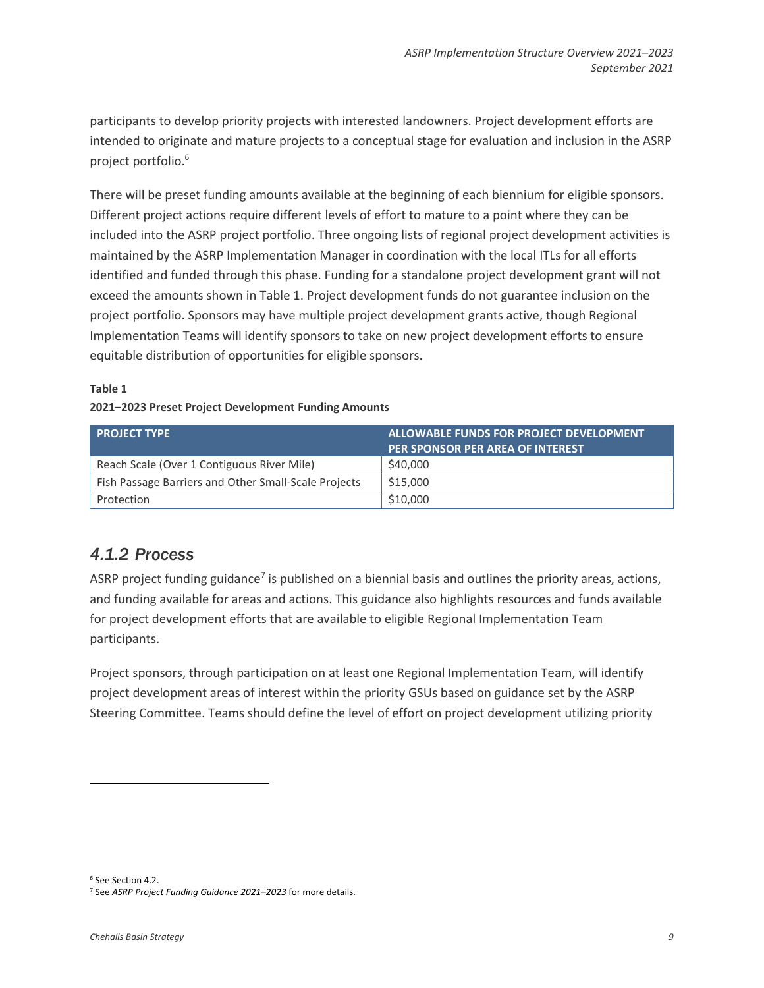participants to develop priority projects with interested landowners. Project development efforts are intended to originate and mature projects to a conceptual stage for evaluation and inclusion in the ASRP project portfolio. 6

There will be preset funding amounts available at the beginning of each biennium for eligible sponsors. Different project actions require different levels of effort to mature to a point where they can be included into the ASRP project portfolio. Three ongoing lists of regional project development activities is maintained by the ASRP Implementation Manager in coordination with the local ITLs for all efforts identified and funded through this phase. Funding for a standalone project development grant will not exceed the amounts shown in Table 1. Project development funds do not guarantee inclusion on the project portfolio. Sponsors may have multiple project development grants active, though Regional Implementation Teams will identify sponsors to take on new project development efforts to ensure equitable distribution of opportunities for eligible sponsors.

### **Table 1**

#### **2021–2023 Preset Project Development Funding Amounts**

| <b>PROJECT TYPE</b>                                  | ALLOWABLE FUNDS FOR PROJECT DEVELOPMENT |  |  |
|------------------------------------------------------|-----------------------------------------|--|--|
|                                                      | <b>PER SPONSOR PER AREA OF INTEREST</b> |  |  |
| Reach Scale (Over 1 Contiguous River Mile)           | \$40,000                                |  |  |
| Fish Passage Barriers and Other Small-Scale Projects | \$15,000                                |  |  |
| Protection                                           | \$10,000                                |  |  |

# *4.1.2 Process*

ASRP project funding guidance<sup>7</sup> is published on a biennial basis and outlines the priority areas, actions, and funding available for areas and actions. This guidance also highlights resources and funds available for project development efforts that are available to eligible Regional Implementation Team participants.

Project sponsors, through participation on at least one Regional Implementation Team, will identify project development areas of interest within the priority GSUs based on guidance set by the ASRP Steering Committee. Teams should define the level of effort on project development utilizing priority

<sup>6</sup> See Section 4.2.

<sup>7</sup> See *ASRP Project Funding Guidance 2021–2023* for more details.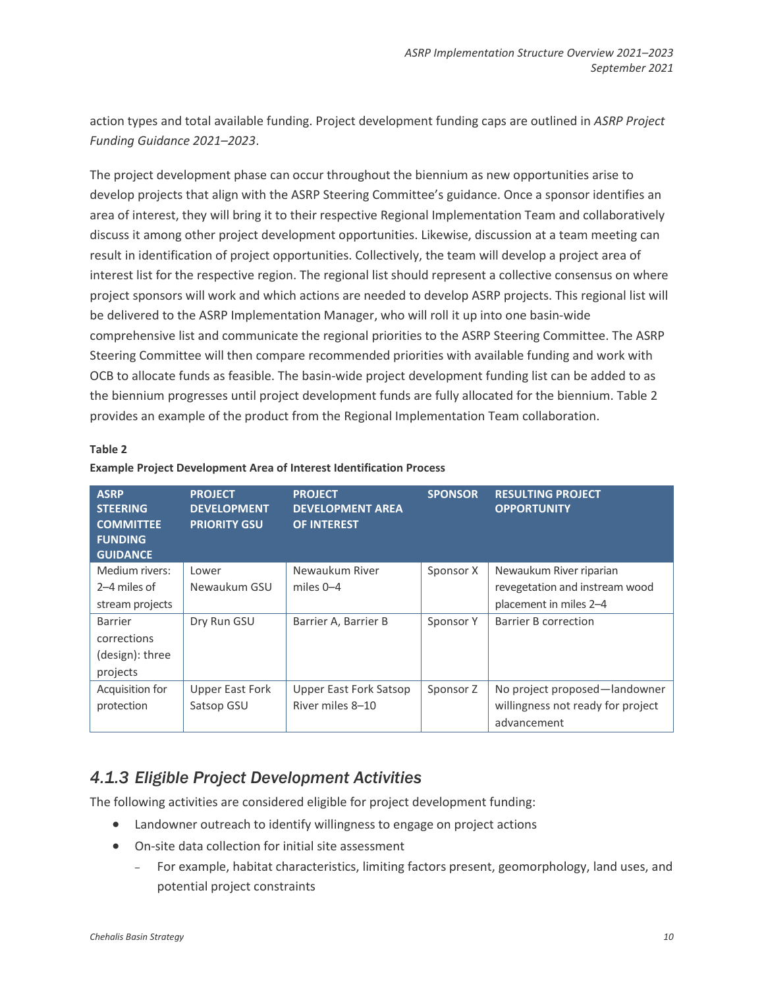action types and total available funding. Project development funding caps are outlined in *ASRP Project Funding Guidance 2021–2023*.

The project development phase can occur throughout the biennium as new opportunities arise to develop projects that align with the ASRP Steering Committee's guidance. Once a sponsor identifies an area of interest, they will bring it to their respective Regional Implementation Team and collaboratively discuss it among other project development opportunities. Likewise, discussion at a team meeting can result in identification of project opportunities. Collectively, the team will develop a project area of interest list for the respective region. The regional list should represent a collective consensus on where project sponsors will work and which actions are needed to develop ASRP projects. This regional list will be delivered to the ASRP Implementation Manager, who will roll it up into one basin-wide comprehensive list and communicate the regional priorities to the ASRP Steering Committee. The ASRP Steering Committee will then compare recommended priorities with available funding and work with OCB to allocate funds as feasible. The basin-wide project development funding list can be added to as the biennium progresses until project development funds are fully allocated for the biennium. Table 2 provides an example of the product from the Regional Implementation Team collaboration.

#### **Table 2**

| <b>ASRP</b><br><b>STEERING</b><br><b>COMMITTEE</b><br><b>FUNDING</b><br><b>GUIDANCE</b> | <b>PROJECT</b><br><b>DEVELOPMENT</b><br><b>PRIORITY GSU</b> | <b>PROJECT</b><br><b>DEVELOPMENT AREA</b><br><b>OF INTEREST</b> | <b>SPONSOR</b> | <b>RESULTING PROJECT</b><br><b>OPPORTUNITY</b>                                      |
|-----------------------------------------------------------------------------------------|-------------------------------------------------------------|-----------------------------------------------------------------|----------------|-------------------------------------------------------------------------------------|
| Medium rivers:<br>2–4 miles of<br>stream projects                                       | Lower<br>Newaukum GSU                                       | Newaukum River<br>miles $0-4$                                   | Sponsor X      | Newaukum River riparian<br>revegetation and instream wood<br>placement in miles 2-4 |
| <b>Barrier</b><br>corrections<br>(design): three<br>projects                            | Dry Run GSU                                                 | Barrier A, Barrier B                                            | Sponsor Y      | Barrier B correction                                                                |
| Acquisition for<br>protection                                                           | <b>Upper East Fork</b><br>Satsop GSU                        | <b>Upper East Fork Satsop</b><br>River miles 8-10               | Sponsor Z      | No project proposed-landowner<br>willingness not ready for project<br>advancement   |

#### **Example Project Development Area of Interest Identification Process**

# *4.1.3 Eligible Project Development Activities*

The following activities are considered eligible for project development funding:

- Landowner outreach to identify willingness to engage on project actions
- On-site data collection for initial site assessment
	- ‒ For example, habitat characteristics, limiting factors present, geomorphology, land uses, and potential project constraints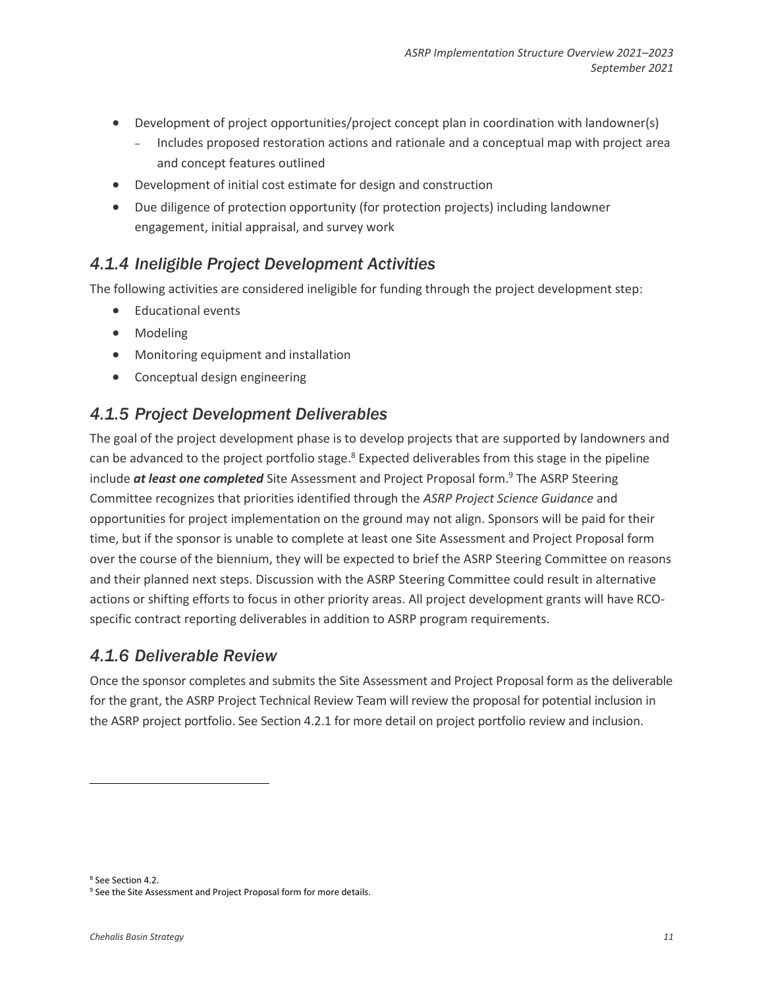- Development of project opportunities/project concept plan in coordination with landowner(s)
	- Includes proposed restoration actions and rationale and a conceptual map with project area and concept features outlined
- Development of initial cost estimate for design and construction
- Due diligence of protection opportunity (for protection projects) including landowner engagement, initial appraisal, and survey work

### *4.1.4 Ineligible Project Development Activities*

The following activities are considered ineligible for funding through the project development step:

- Educational events
- Modeling
- Monitoring equipment and installation
- Conceptual design engineering

### *4.1.5 Project Development Deliverables*

The goal of the project development phase is to develop projects that are supported by landowners and can be advanced to the project portfolio stage.<sup>8</sup> Expected deliverables from this stage in the pipeline include *at least one completed* Site Assessment and Project Proposal form. <sup>9</sup> The ASRP Steering Committee recognizes that priorities identified through the *ASRP Project Science Guidance* and opportunities for project implementation on the ground may not align. Sponsors will be paid for their time, but if the sponsor is unable to complete at least one Site Assessment and Project Proposal form over the course of the biennium, they will be expected to brief the ASRP Steering Committee on reasons and their planned next steps. Discussion with the ASRP Steering Committee could result in alternative actions or shifting efforts to focus in other priority areas. All project development grants will have RCOspecific contract reporting deliverables in addition to ASRP program requirements.

### *4.1.6 Deliverable Review*

Once the sponsor completes and submits the Site Assessment and Project Proposal form as the deliverable for the grant, the ASRP Project Technical Review Team will review the proposal for potential inclusion in the ASRP project portfolio. See Section 4.2.1 for more detail on project portfolio review and inclusion.

<sup>8</sup> See Section 4.2.

<sup>&</sup>lt;sup>9</sup> See the Site Assessment and Project Proposal form for more details.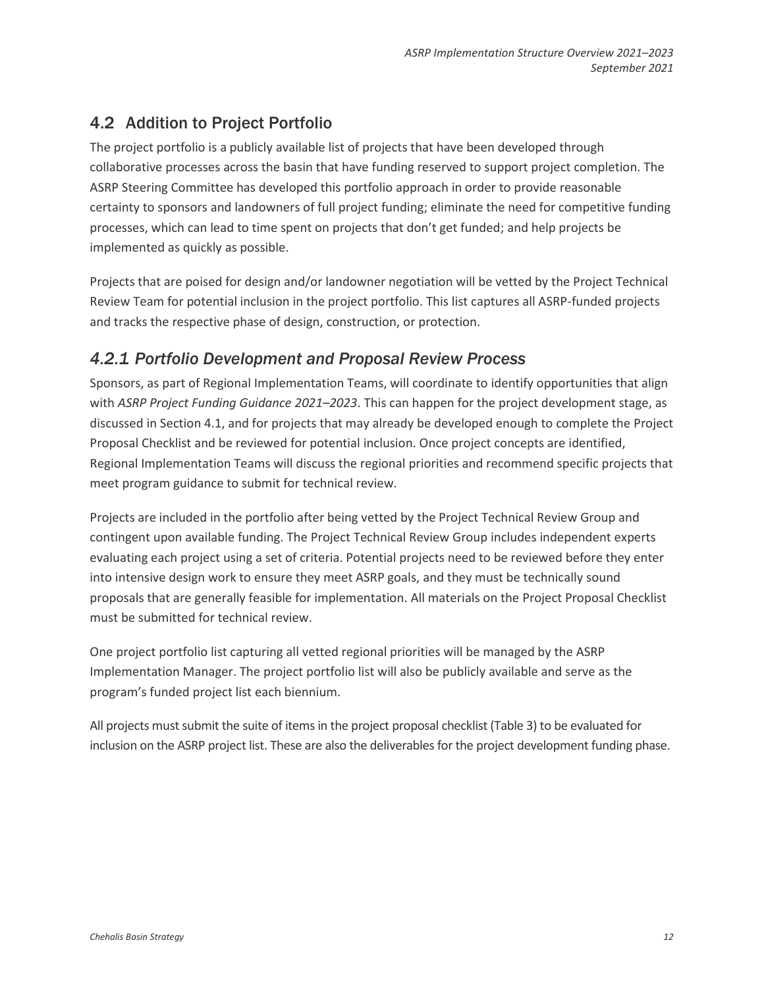# <span id="page-11-0"></span>4.2 Addition to Project Portfolio

The project portfolio is a publicly available list of projects that have been developed through collaborative processes across the basin that have funding reserved to support project completion. The ASRP Steering Committee has developed this portfolio approach in order to provide reasonable certainty to sponsors and landowners of full project funding; eliminate the need for competitive funding processes, which can lead to time spent on projects that don't get funded; and help projects be implemented as quickly as possible.

Projects that are poised for design and/or landowner negotiation will be vetted by the Project Technical Review Team for potential inclusion in the project portfolio. This list captures all ASRP-funded projects and tracks the respective phase of design, construction, or protection.

# *4.2.1 Portfolio Development and Proposal Review Process*

Sponsors, as part of Regional Implementation Teams, will coordinate to identify opportunities that align with *ASRP Project Funding Guidance 2021–2023*. This can happen for the project development stage, as discussed in Section 4.1, and for projects that may already be developed enough to complete the Project Proposal Checklist and be reviewed for potential inclusion. Once project concepts are identified, Regional Implementation Teams will discuss the regional priorities and recommend specific projects that meet program guidance to submit for technical review.

Projects are included in the portfolio after being vetted by the Project Technical Review Group and contingent upon available funding. The Project Technical Review Group includes independent experts evaluating each project using a set of criteria. Potential projects need to be reviewed before they enter into intensive design work to ensure they meet ASRP goals, and they must be technically sound proposals that are generally feasible for implementation. All materials on the Project Proposal Checklist must be submitted for technical review.

One project portfolio list capturing all vetted regional priorities will be managed by the ASRP Implementation Manager. The project portfolio list will also be publicly available and serve as the program's funded project list each biennium.

All projects must submit the suite of items in the project proposal checklist (Table 3) to be evaluated for inclusion on the ASRP project list. These are also the deliverables for the project development funding phase.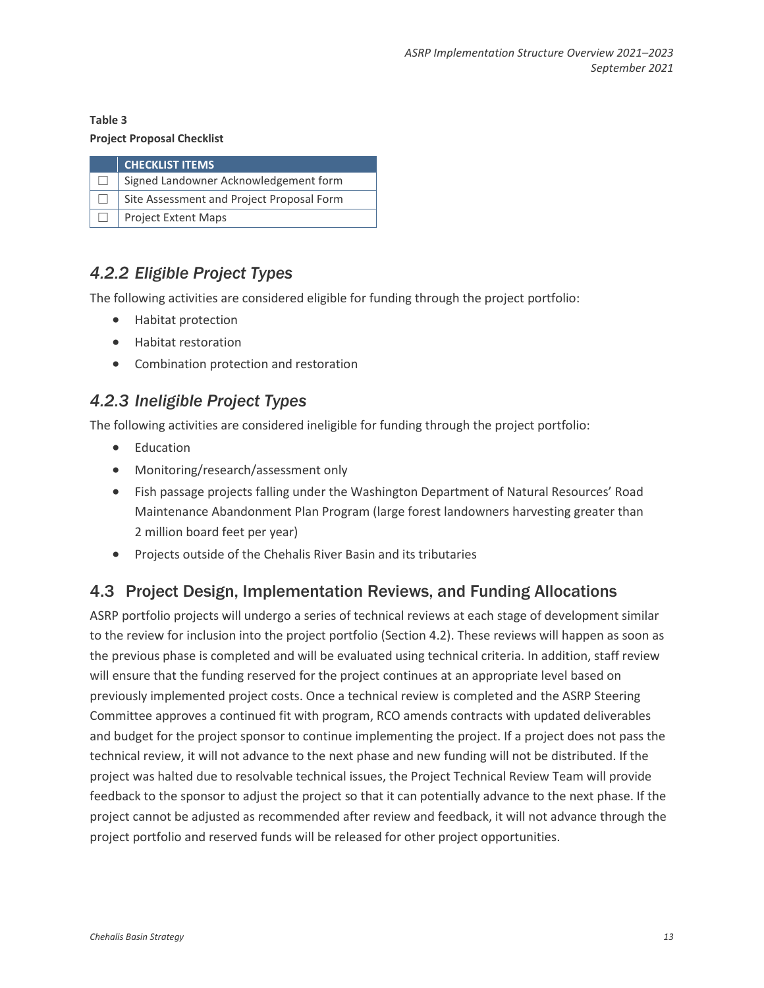### **Table 3**

### **Project Proposal Checklist**

| <b>CHECKLIST ITEMS</b>                    |
|-------------------------------------------|
| Signed Landowner Acknowledgement form     |
| Site Assessment and Project Proposal Form |
| Project Extent Maps                       |

# *4.2.2 Eligible Project Types*

The following activities are considered eligible for funding through the project portfolio:

- Habitat protection
- Habitat restoration
- Combination protection and restoration

# *4.2.3 Ineligible Project Types*

The following activities are considered ineligible for funding through the project portfolio:

- Education
- Monitoring/research/assessment only
- Fish passage projects falling under the Washington Department of Natural Resources' Road Maintenance Abandonment Plan Program (large forest landowners harvesting greater than 2 million board feet per year)
- Projects outside of the Chehalis River Basin and its tributaries

# <span id="page-12-0"></span>4.3 Project Design, Implementation Reviews, and Funding Allocations

ASRP portfolio projects will undergo a series of technical reviews at each stage of development similar to the review for inclusion into the project portfolio (Section 4.2). These reviews will happen as soon as the previous phase is completed and will be evaluated using technical criteria. In addition, staff review will ensure that the funding reserved for the project continues at an appropriate level based on previously implemented project costs. Once a technical review is completed and the ASRP Steering Committee approves a continued fit with program, RCO amends contracts with updated deliverables and budget for the project sponsor to continue implementing the project. If a project does not pass the technical review, it will not advance to the next phase and new funding will not be distributed. If the project was halted due to resolvable technical issues, the Project Technical Review Team will provide feedback to the sponsor to adjust the project so that it can potentially advance to the next phase. If the project cannot be adjusted as recommended after review and feedback, it will not advance through the project portfolio and reserved funds will be released for other project opportunities.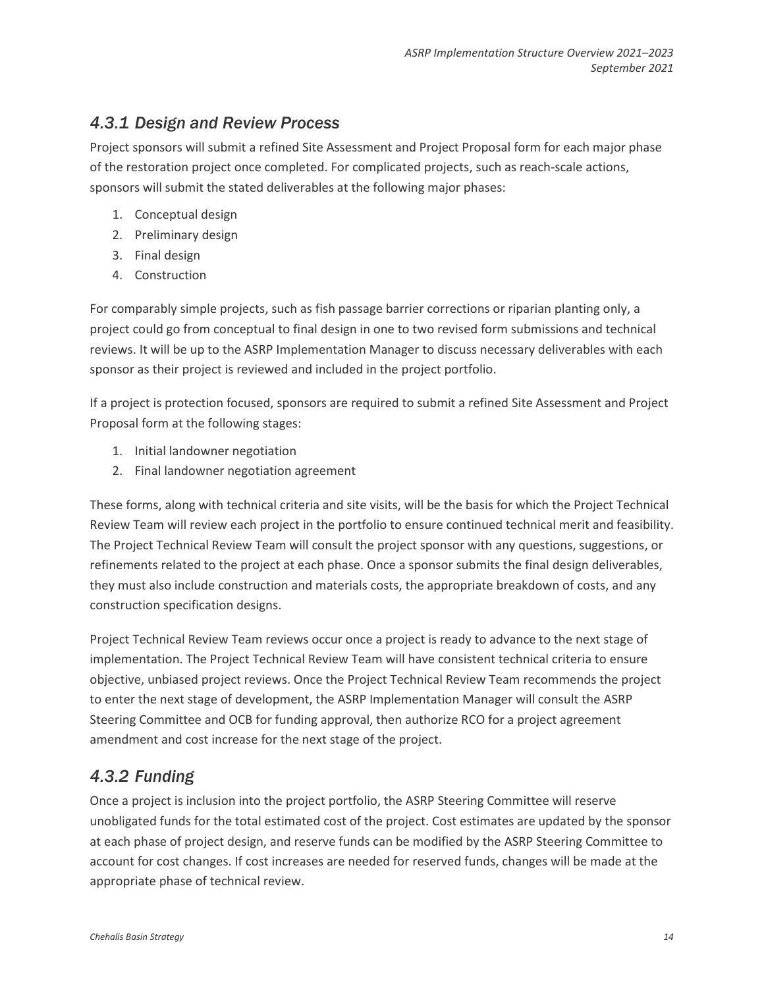# *4.3.1 Design and Review Process*

Project sponsors will submit a refined Site Assessment and Project Proposal form for each major phase of the restoration project once completed. For complicated projects, such as reach-scale actions, sponsors will submit the stated deliverables at the following major phases:

- 1. Conceptual design
- 2. Preliminary design
- 3. Final design
- 4. Construction

For comparably simple projects, such as fish passage barrier corrections or riparian planting only, a project could go from conceptual to final design in one to two revised form submissions and technical reviews. It will be up to the ASRP Implementation Manager to discuss necessary deliverables with each sponsor as their project is reviewed and included in the project portfolio.

If a project is protection focused, sponsors are required to submit a refined Site Assessment and Project Proposal form at the following stages:

- 1. Initial landowner negotiation
- 2. Final landowner negotiation agreement

These forms, along with technical criteria and site visits, will be the basis for which the Project Technical Review Team will review each project in the portfolio to ensure continued technical merit and feasibility. The Project Technical Review Team will consult the project sponsor with any questions, suggestions, or refinements related to the project at each phase. Once a sponsor submits the final design deliverables, they must also include construction and materials costs, the appropriate breakdown of costs, and any construction specification designs.

Project Technical Review Team reviews occur once a project is ready to advance to the next stage of implementation. The Project Technical Review Team will have consistent technical criteria to ensure objective, unbiased project reviews. Once the Project Technical Review Team recommends the project to enter the next stage of development, the ASRP Implementation Manager will consult the ASRP Steering Committee and OCB for funding approval, then authorize RCO for a project agreement amendment and cost increase for the next stage of the project.

# *4.3.2 Funding*

Once a project is inclusion into the project portfolio, the ASRP Steering Committee will reserve unobligated funds for the total estimated cost of the project. Cost estimates are updated by the sponsor at each phase of project design, and reserve funds can be modified by the ASRP Steering Committee to account for cost changes. If cost increases are needed for reserved funds, changes will be made at the appropriate phase of technical review.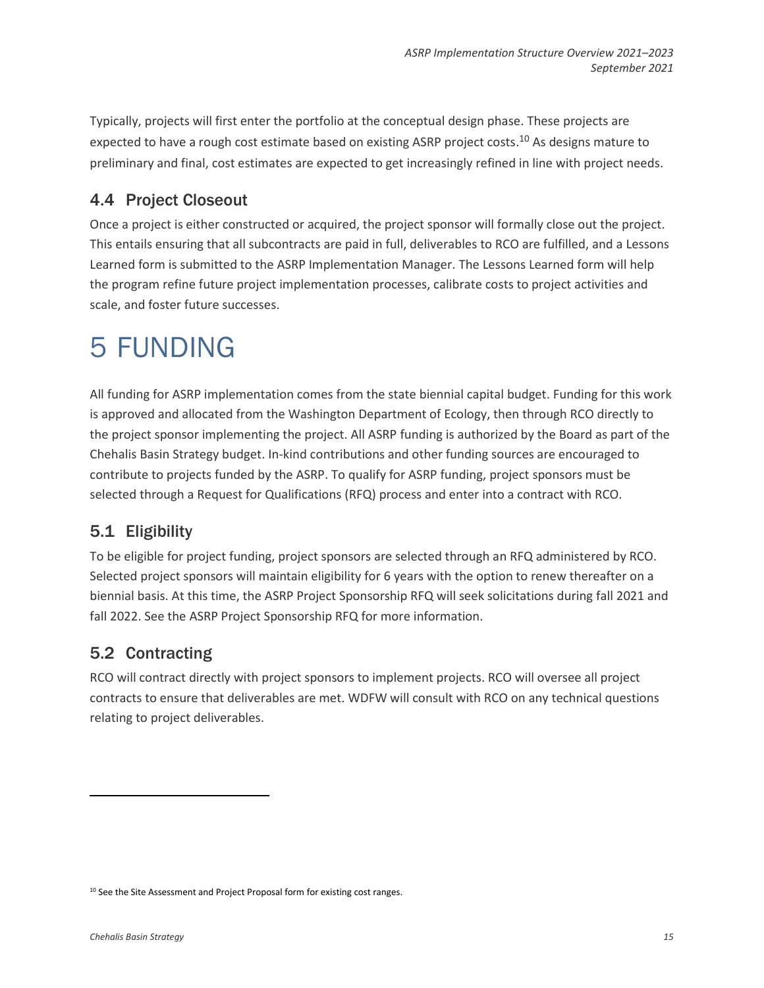Typically, projects will first enter the portfolio at the conceptual design phase. These projects are expected to have a rough cost estimate based on existing ASRP project costs.<sup>10</sup> As designs mature to preliminary and final, cost estimates are expected to get increasingly refined in line with project needs.

# <span id="page-14-0"></span>4.4 Project Closeout

Once a project is either constructed or acquired, the project sponsor will formally close out the project. This entails ensuring that all subcontracts are paid in full, deliverables to RCO are fulfilled, and a Lessons Learned form is submitted to the ASRP Implementation Manager. The Lessons Learned form will help the program refine future project implementation processes, calibrate costs to project activities and scale, and foster future successes.

# <span id="page-14-1"></span>5 FUNDING

All funding for ASRP implementation comes from the state biennial capital budget. Funding for this work is approved and allocated from the Washington Department of Ecology, then through RCO directly to the project sponsor implementing the project. All ASRP funding is authorized by the Board as part of the Chehalis Basin Strategy budget. In-kind contributions and other funding sources are encouraged to contribute to projects funded by the ASRP. To qualify for ASRP funding, project sponsors must be selected through a Request for Qualifications (RFQ) process and enter into a contract with RCO.

# <span id="page-14-2"></span>5.1 Eligibility

To be eligible for project funding, project sponsors are selected through an RFQ administered by RCO. Selected project sponsors will maintain eligibility for 6 years with the option to renew thereafter on a biennial basis. At this time, the ASRP Project Sponsorship RFQ will seek solicitations during fall 2021 and fall 2022. See the ASRP Project Sponsorship RFQ for more information.

# <span id="page-14-3"></span>5.2 Contracting

RCO will contract directly with project sponsors to implement projects. RCO will oversee all project contracts to ensure that deliverables are met. WDFW will consult with RCO on any technical questions relating to project deliverables.

<sup>&</sup>lt;sup>10</sup> See the Site Assessment and Project Proposal form for existing cost ranges.